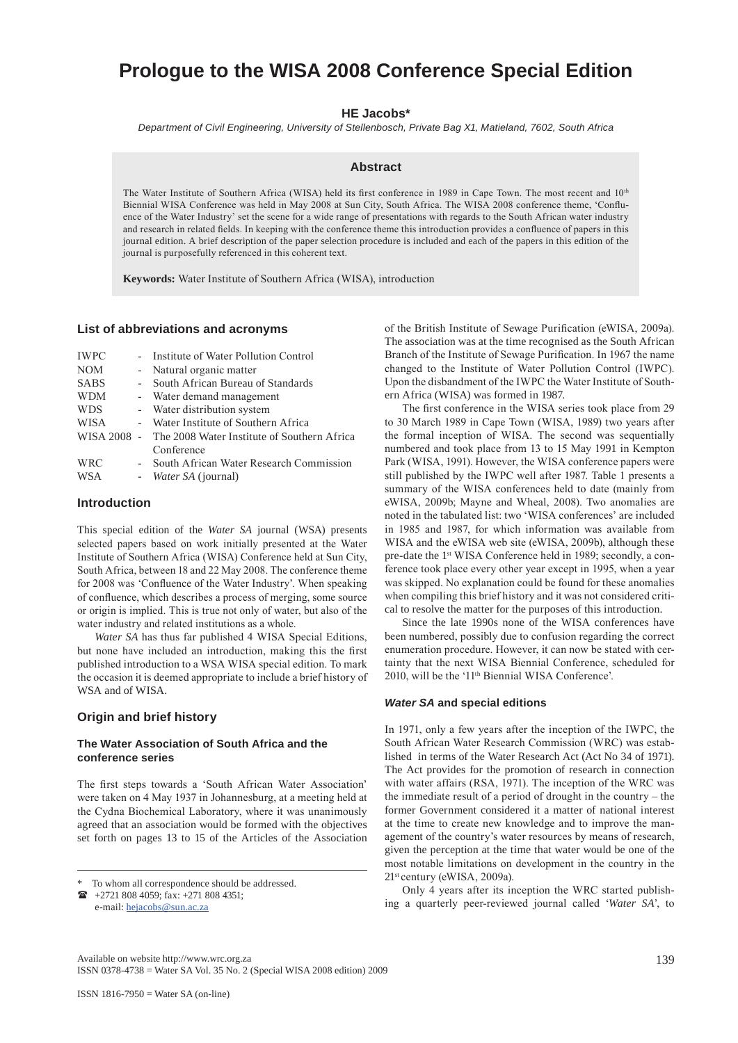# **Prologue to the WISA 2008 Conference Special Edition**

**HE Jacobs\***

*Department of Civil Engineering, University of Stellenbosch, Private Bag X1, Matieland, 7602, South Africa*

## **Abstract**

The Water Institute of Southern Africa (WISA) held its first conference in 1989 in Cape Town. The most recent and 10<sup>th</sup> Biennial WISA Conference was held in May 2008 at Sun City, South Africa. The WISA 2008 conference theme, 'Confluence of the Water Industry' set the scene for a wide range of presentations with regards to the South African water industry and research in related fields. In keeping with the conference theme this introduction provides a confluence of papers in this journal edition. A brief description of the paper selection procedure is included and each of the papers in this edition of the journal is purposefully referenced in this coherent text.

**Keywords:** Water Institute of Southern Africa (WISA), introduction

#### **List of abbreviations and acronyms**

| <b>IWPC</b> |                          | Institute of Water Pollution Control                    |  |  |
|-------------|--------------------------|---------------------------------------------------------|--|--|
| <b>NOM</b>  |                          | - Natural organic matter                                |  |  |
| <b>SABS</b> |                          | South African Bureau of Standards                       |  |  |
| <b>WDM</b>  |                          | - Water demand management                               |  |  |
| <b>WDS</b>  |                          | - Water distribution system                             |  |  |
| <b>WISA</b> |                          | - Water Institute of Southern Africa                    |  |  |
|             |                          | WISA 2008 - The 2008 Water Institute of Southern Africa |  |  |
|             |                          | Conference                                              |  |  |
| <b>WRC</b>  |                          | South African Water Research Commission                 |  |  |
| <b>WSA</b>  | $\overline{\phantom{0}}$ | <i>Water SA</i> (journal)                               |  |  |

## **Introduction**

This special edition of the *Water SA* journal (WSA) presents selected papers based on work initially presented at the Water Institute of Southern Africa (WISA) Conference held at Sun City, South Africa, between 18 and 22 May 2008. The conference theme for 2008 was 'Confluence of the Water Industry'. When speaking of confluence, which describes a process of merging, some source or origin is implied. This is true not only of water, but also of the water industry and related institutions as a whole.

*Water SA* has thus far published 4 WISA Special Editions, but none have included an introduction, making this the first published introduction to a WSA WISA special edition. To mark the occasion it is deemed appropriate to include a brief history of WSA and of WISA.

# **Origin and brief history**

## **The Water Association of South Africa and the conference series**

The first steps towards a 'South African Water Association' were taken on 4 May 1937 in Johannesburg, at a meeting held at the Cydna Biochemical Laboratory, where it was unanimously agreed that an association would be formed with the objectives set forth on pages 13 to 15 of the Articles of the Association

 $\bullet$  +2721 808 4059; fax: +271 808 4351; e-mail: hejacobs@sun.ac.za

of the British Institute of Sewage Purification (eWISA, 2009a). The association was at the time recognised as the South African Branch of the Institute of Sewage Purification. In 1967 the name changed to the Institute of Water Pollution Control (IWPC). Upon the disbandment of the IWPC the Water Institute of Southern Africa (WISA) was formed in 1987.

The first conference in the WISA series took place from 29 to 30 March 1989 in Cape Town (WISA, 1989) two years after the formal inception of WISA. The second was sequentially numbered and took place from 13 to 15 May 1991 in Kempton Park (WISA, 1991). However, the WISA conference papers were still published by the IWPC well after 1987. Table 1 presents a summary of the WISA conferences held to date (mainly from eWISA, 2009b; Mayne and Wheal, 2008). Two anomalies are noted in the tabulated list: two 'WISA conferences' are included in 1985 and 1987, for which information was available from WISA and the eWISA web site (eWISA, 2009b), although these pre-date the 1st WISA Conference held in 1989; secondly, a conference took place every other year except in 1995, when a year was skipped. No explanation could be found for these anomalies when compiling this brief history and it was not considered critical to resolve the matter for the purposes of this introduction.

Since the late 1990s none of the WISA conferences have been numbered, possibly due to confusion regarding the correct enumeration procedure. However, it can now be stated with certainty that the next WISA Biennial Conference, scheduled for 2010, will be the '11th Biennial WISA Conference'.

#### *Water SA* **and special editions**

In 1971, only a few years after the inception of the IWPC, the South African Water Research Commission (WRC) was established in terms of the Water Research Act (Act No 34 of 1971). The Act provides for the promotion of research in connection with water affairs (RSA, 1971). The inception of the WRC was the immediate result of a period of drought in the country – the former Government considered it a matter of national interest at the time to create new knowledge and to improve the management of the country's water resources by means of research, given the perception at the time that water would be one of the most notable limitations on development in the country in the 21st century (eWISA, 2009a).

Only 4 years after its inception the WRC started publishing a quarterly peer-reviewed journal called '*Water SA*', to

Available on website http://www.wrc.org.za ISSN 0378-4738 = Water SA Vol. 35 No. 2 (Special WISA 2008 edition) 2009

To whom all correspondence should be addressed.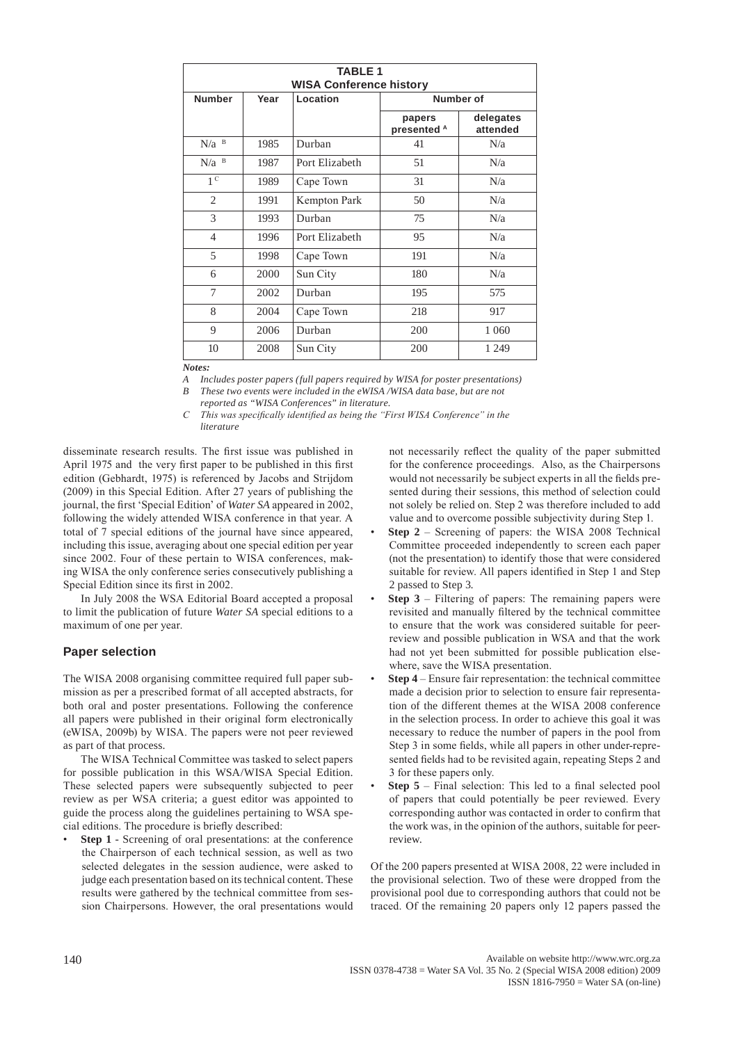| <b>TABLE 1</b><br><b>WISA Conference history</b> |      |                |                       |                       |  |  |
|--------------------------------------------------|------|----------------|-----------------------|-----------------------|--|--|
| <b>Number</b>                                    | Year | Location       | Number of             |                       |  |  |
|                                                  |      |                | papers<br>presented A | delegates<br>attended |  |  |
| $N/a$ <sup>B</sup>                               | 1985 | Durban         | 41                    | N/a                   |  |  |
|                                                  | 1987 | Port Elizabeth | 51                    | N/a                   |  |  |
| 1 <sup>c</sup>                                   | 1989 | Cape Town      | 31                    | N/a                   |  |  |
| $\overline{c}$                                   | 1991 | Kempton Park   | 50                    | N/a                   |  |  |
| 3                                                | 1993 | Durban         | 75                    | N/a                   |  |  |
| $\overline{4}$                                   | 1996 | Port Elizabeth | 95                    | N/a                   |  |  |
| 5                                                | 1998 | Cape Town      | 191                   | N/a                   |  |  |
| 6                                                | 2000 | Sun City       | 180                   | N/a                   |  |  |
| 7                                                | 2002 | Durban         | 195                   | 575                   |  |  |
| 8                                                | 2004 | Cape Town      | 218                   | 917                   |  |  |
| 9                                                | 2006 | Durban         | 200                   | 1 0 6 0               |  |  |
| 10                                               | 2008 | Sun City       | 200                   | 1 2 4 9               |  |  |

*Notes:*

*A Includes poster papers (full papers required by WISA for poster presentations)*

*B These two events were included in the eWISA /WISA data base, but are not reported as "WISA Conferences" in literature.*

*C This was specifically identified as being the "First WISA Conference" in the literature*

disseminate research results. The first issue was published in April 1975 and the very first paper to be published in this first edition (Gebhardt, 1975) is referenced by Jacobs and Strijdom (2009) in this Special Edition. After 27 years of publishing the journal, the first 'Special Edition' of *Water SA* appeared in 2002, following the widely attended WISA conference in that year. A total of 7 special editions of the journal have since appeared, including this issue, averaging about one special edition per year since 2002. Four of these pertain to WISA conferences, making WISA the only conference series consecutively publishing a Special Edition since its first in 2002.

In July 2008 the WSA Editorial Board accepted a proposal to limit the publication of future *Water SA* special editions to a maximum of one per year.

# **Paper selection**

The WISA 2008 organising committee required full paper submission as per a prescribed format of all accepted abstracts, for both oral and poster presentations. Following the conference all papers were published in their original form electronically (eWISA, 2009b) by WISA. The papers were not peer reviewed as part of that process.

The WISA Technical Committee was tasked to select papers for possible publication in this WSA/WISA Special Edition. These selected papers were subsequently subjected to peer review as per WSA criteria; a guest editor was appointed to guide the process along the guidelines pertaining to WSA special editions. The procedure is briefly described:

**Step 1** - Screening of oral presentations: at the conference the Chairperson of each technical session, as well as two selected delegates in the session audience, were asked to judge each presentation based on its technical content. These results were gathered by the technical committee from session Chairpersons. However, the oral presentations would not necessarily reflect the quality of the paper submitted for the conference proceedings. Also, as the Chairpersons would not necessarily be subject experts in all the fields presented during their sessions, this method of selection could not solely be relied on. Step 2 was therefore included to add value and to overcome possible subjectivity during Step 1.

- **Step 2** Screening of papers: the WISA 2008 Technical Committee proceeded independently to screen each paper (not the presentation) to identify those that were considered suitable for review. All papers identified in Step 1 and Step 2 passed to Step 3.
- **Step 3** Filtering of papers: The remaining papers were revisited and manually filtered by the technical committee to ensure that the work was considered suitable for peerreview and possible publication in WSA and that the work had not yet been submitted for possible publication elsewhere, save the WISA presentation.
- **Step 4** Ensure fair representation: the technical committee made a decision prior to selection to ensure fair representation of the different themes at the WISA 2008 conference in the selection process. In order to achieve this goal it was necessary to reduce the number of papers in the pool from Step 3 in some fields, while all papers in other under-represented fields had to be revisited again, repeating Steps 2 and 3 for these papers only.
- **Step 5** Final selection: This led to a final selected pool of papers that could potentially be peer reviewed. Every corresponding author was contacted in order to confirm that the work was, in the opinion of the authors, suitable for peerreview.

Of the 200 papers presented at WISA 2008, 22 were included in the provisional selection. Two of these were dropped from the provisional pool due to corresponding authors that could not be traced. Of the remaining 20 papers only 12 papers passed the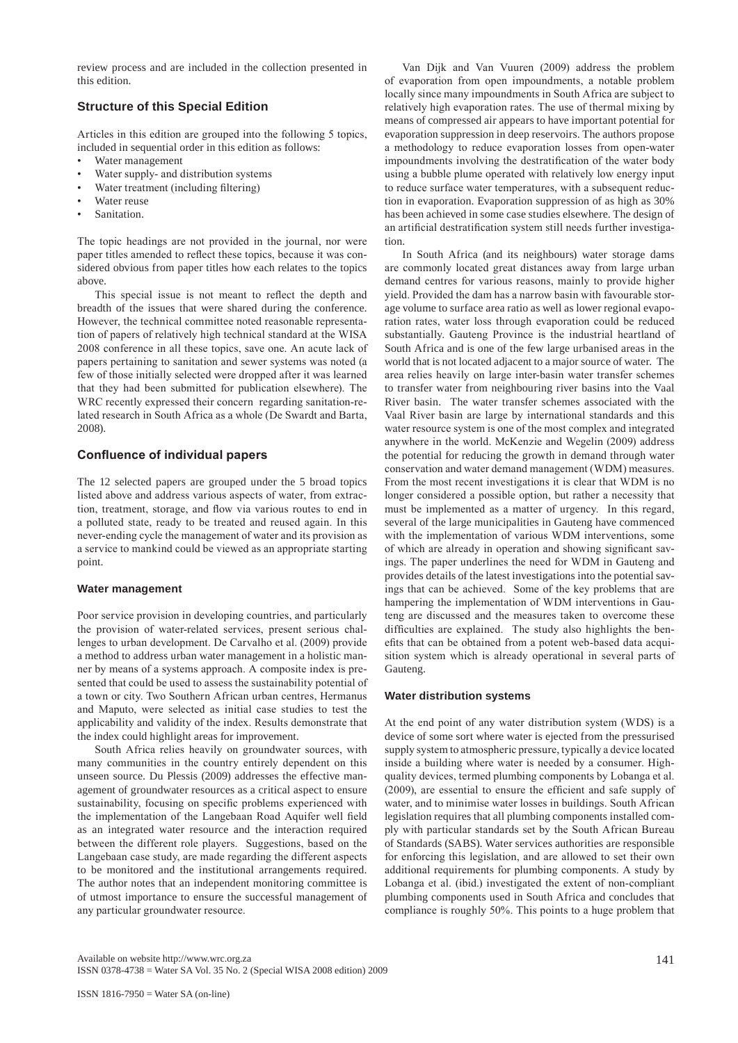review process and are included in the collection presented in this edition.

# **Structure of this Special Edition**

Articles in this edition are grouped into the following 5 topics, included in sequential order in this edition as follows:

- Water management
- Water supply- and distribution systems
- Water treatment (including filtering)
- Water reuse
- Sanitation.

The topic headings are not provided in the journal, nor were paper titles amended to reflect these topics, because it was considered obvious from paper titles how each relates to the topics above.

This special issue is not meant to reflect the depth and breadth of the issues that were shared during the conference. However, the technical committee noted reasonable representation of papers of relatively high technical standard at the WISA 2008 conference in all these topics, save one. An acute lack of papers pertaining to sanitation and sewer systems was noted (a few of those initially selected were dropped after it was learned that they had been submitted for publication elsewhere). The WRC recently expressed their concern regarding sanitation-related research in South Africa as a whole (De Swardt and Barta, 2008).

# **Confluence of individual papers**

The 12 selected papers are grouped under the 5 broad topics listed above and address various aspects of water, from extraction, treatment, storage, and flow via various routes to end in a polluted state, ready to be treated and reused again. In this never-ending cycle the management of water and its provision as a service to mankind could be viewed as an appropriate starting point.

#### **Water management**

Poor service provision in developing countries, and particularly the provision of water-related services, present serious challenges to urban development. De Carvalho et al. (2009) provide a method to address urban water management in a holistic manner by means of a systems approach. A composite index is presented that could be used to assess the sustainability potential of a town or city. Two Southern African urban centres, Hermanus and Maputo, were selected as initial case studies to test the applicability and validity of the index. Results demonstrate that the index could highlight areas for improvement.

South Africa relies heavily on groundwater sources, with many communities in the country entirely dependent on this unseen source. Du Plessis (2009) addresses the effective management of groundwater resources as a critical aspect to ensure sustainability, focusing on specific problems experienced with the implementation of the Langebaan Road Aquifer well field as an integrated water resource and the interaction required between the different role players. Suggestions, based on the Langebaan case study, are made regarding the different aspects to be monitored and the institutional arrangements required. The author notes that an independent monitoring committee is of utmost importance to ensure the successful management of any particular groundwater resource.

Van Dijk and Van Vuuren (2009) address the problem of evaporation from open impoundments, a notable problem locally since many impoundments in South Africa are subject to relatively high evaporation rates. The use of thermal mixing by means of compressed air appears to have important potential for evaporation suppression in deep reservoirs. The authors propose a methodology to reduce evaporation losses from open-water impoundments involving the destratification of the water body using a bubble plume operated with relatively low energy input to reduce surface water temperatures, with a subsequent reduction in evaporation. Evaporation suppression of as high as 30% has been achieved in some case studies elsewhere. The design of an artificial destratification system still needs further investigation.

In South Africa (and its neighbours) water storage dams are commonly located great distances away from large urban demand centres for various reasons, mainly to provide higher yield. Provided the dam has a narrow basin with favourable storage volume to surface area ratio as well as lower regional evaporation rates, water loss through evaporation could be reduced substantially. Gauteng Province is the industrial heartland of South Africa and is one of the few large urbanised areas in the world that is not located adjacent to a major source of water. The area relies heavily on large inter-basin water transfer schemes to transfer water from neighbouring river basins into the Vaal River basin. The water transfer schemes associated with the Vaal River basin are large by international standards and this water resource system is one of the most complex and integrated anywhere in the world. McKenzie and Wegelin (2009) address the potential for reducing the growth in demand through water conservation and water demand management (WDM) measures. From the most recent investigations it is clear that WDM is no longer considered a possible option, but rather a necessity that must be implemented as a matter of urgency. In this regard, several of the large municipalities in Gauteng have commenced with the implementation of various WDM interventions, some of which are already in operation and showing significant savings. The paper underlines the need for WDM in Gauteng and provides details of the latest investigations into the potential savings that can be achieved. Some of the key problems that are hampering the implementation of WDM interventions in Gauteng are discussed and the measures taken to overcome these difficulties are explained. The study also highlights the benefits that can be obtained from a potent web-based data acquisition system which is already operational in several parts of Gauteng.

#### **Water distribution systems**

At the end point of any water distribution system (WDS) is a device of some sort where water is ejected from the pressurised supply system to atmospheric pressure, typically a device located inside a building where water is needed by a consumer. Highquality devices, termed plumbing components by Lobanga et al. (2009), are essential to ensure the efficient and safe supply of water, and to minimise water losses in buildings. South African legislation requires that all plumbing components installed comply with particular standards set by the South African Bureau of Standards (SABS). Water services authorities are responsible for enforcing this legislation, and are allowed to set their own additional requirements for plumbing components. A study by Lobanga et al. (ibid.) investigated the extent of non-compliant plumbing components used in South Africa and concludes that compliance is roughly 50%. This points to a huge problem that

Available on website http://www.wrc.org.za ISSN 0378-4738 = Water SA Vol. 35 No. 2 (Special WISA 2008 edition) 2009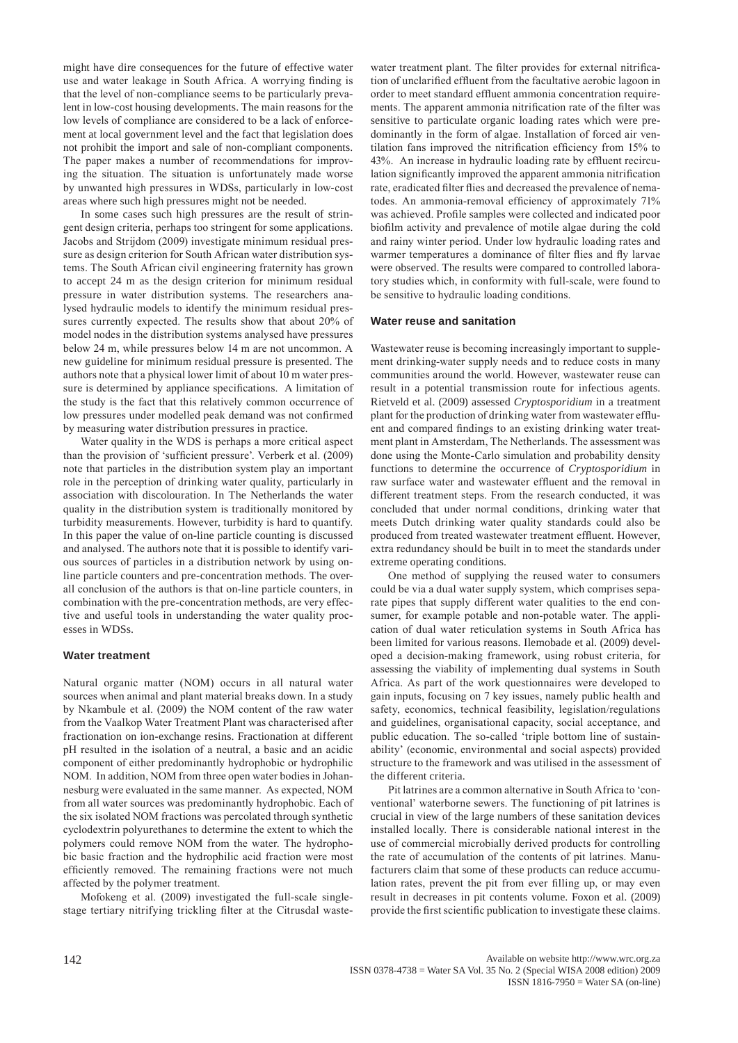might have dire consequences for the future of effective water use and water leakage in South Africa. A worrying finding is that the level of non-compliance seems to be particularly prevalent in low-cost housing developments. The main reasons for the low levels of compliance are considered to be a lack of enforcement at local government level and the fact that legislation does not prohibit the import and sale of non-compliant components. The paper makes a number of recommendations for improving the situation. The situation is unfortunately made worse by unwanted high pressures in WDSs, particularly in low-cost areas where such high pressures might not be needed.

In some cases such high pressures are the result of stringent design criteria, perhaps too stringent for some applications. Jacobs and Strijdom (2009) investigate minimum residual pressure as design criterion for South African water distribution systems. The South African civil engineering fraternity has grown to accept 24 m as the design criterion for minimum residual pressure in water distribution systems. The researchers analysed hydraulic models to identify the minimum residual pressures currently expected. The results show that about 20% of model nodes in the distribution systems analysed have pressures below 24 m, while pressures below 14 m are not uncommon. A new guideline for minimum residual pressure is presented. The authors note that a physical lower limit of about 10 m water pressure is determined by appliance specifications. A limitation of the study is the fact that this relatively common occurrence of low pressures under modelled peak demand was not confirmed by measuring water distribution pressures in practice.

Water quality in the WDS is perhaps a more critical aspect than the provision of 'sufficient pressure'. Verberk et al. (2009) note that particles in the distribution system play an important role in the perception of drinking water quality, particularly in association with discolouration. In The Netherlands the water quality in the distribution system is traditionally monitored by turbidity measurements. However, turbidity is hard to quantify. In this paper the value of on-line particle counting is discussed and analysed. The authors note that it is possible to identify various sources of particles in a distribution network by using online particle counters and pre-concentration methods. The overall conclusion of the authors is that on-line particle counters, in combination with the pre-concentration methods, are very effective and useful tools in understanding the water quality processes in WDSs.

#### **Water treatment**

Natural organic matter (NOM) occurs in all natural water sources when animal and plant material breaks down. In a study by Nkambule et al. (2009) the NOM content of the raw water from the Vaalkop Water Treatment Plant was characterised after fractionation on ion-exchange resins. Fractionation at different pH resulted in the isolation of a neutral, a basic and an acidic component of either predominantly hydrophobic or hydrophilic NOM. In addition, NOM from three open water bodies in Johannesburg were evaluated in the same manner. As expected, NOM from all water sources was predominantly hydrophobic. Each of the six isolated NOM fractions was percolated through synthetic cyclodextrin polyurethanes to determine the extent to which the polymers could remove NOM from the water. The hydrophobic basic fraction and the hydrophilic acid fraction were most efficiently removed. The remaining fractions were not much affected by the polymer treatment.

Mofokeng et al. (2009) investigated the full-scale singlestage tertiary nitrifying trickling filter at the Citrusdal waste-

water treatment plant. The filter provides for external nitrification of unclarified effluent from the facultative aerobic lagoon in order to meet standard effluent ammonia concentration requirements. The apparent ammonia nitrification rate of the filter was sensitive to particulate organic loading rates which were predominantly in the form of algae. Installation of forced air ventilation fans improved the nitrification efficiency from 15% to 43%. An increase in hydraulic loading rate by effluent recirculation significantly improved the apparent ammonia nitrification rate, eradicated filter flies and decreased the prevalence of nematodes. An ammonia-removal efficiency of approximately 71% was achieved. Profile samples were collected and indicated poor biofilm activity and prevalence of motile algae during the cold and rainy winter period. Under low hydraulic loading rates and warmer temperatures a dominance of filter flies and fly larvae were observed. The results were compared to controlled laboratory studies which, in conformity with full-scale, were found to be sensitive to hydraulic loading conditions.

#### **Water reuse and sanitation**

Wastewater reuse is becoming increasingly important to supplement drinking-water supply needs and to reduce costs in many communities around the world. However, wastewater reuse can result in a potential transmission route for infectious agents. Rietveld et al. (2009) assessed *Cryptosporidium* in a treatment plant for the production of drinking water from wastewater effluent and compared findings to an existing drinking water treatment plant in Amsterdam, The Netherlands. The assessment was done using the Monte-Carlo simulation and probability density functions to determine the occurrence of *Cryptosporidium* in raw surface water and wastewater effluent and the removal in different treatment steps. From the research conducted, it was concluded that under normal conditions, drinking water that meets Dutch drinking water quality standards could also be produced from treated wastewater treatment effluent. However, extra redundancy should be built in to meet the standards under extreme operating conditions.

One method of supplying the reused water to consumers could be via a dual water supply system, which comprises separate pipes that supply different water qualities to the end consumer, for example potable and non-potable water. The application of dual water reticulation systems in South Africa has been limited for various reasons. Ilemobade et al. (2009) developed a decision-making framework, using robust criteria, for assessing the viability of implementing dual systems in South Africa. As part of the work questionnaires were developed to gain inputs, focusing on 7 key issues, namely public health and safety, economics, technical feasibility, legislation/regulations and guidelines, organisational capacity, social acceptance, and public education. The so-called 'triple bottom line of sustainability' (economic, environmental and social aspects) provided structure to the framework and was utilised in the assessment of the different criteria.

Pit latrines are a common alternative in South Africa to 'conventional' waterborne sewers. The functioning of pit latrines is crucial in view of the large numbers of these sanitation devices installed locally. There is considerable national interest in the use of commercial microbially derived products for controlling the rate of accumulation of the contents of pit latrines. Manufacturers claim that some of these products can reduce accumulation rates, prevent the pit from ever filling up, or may even result in decreases in pit contents volume. Foxon et al. (2009) provide the first scientific publication to investigate these claims.